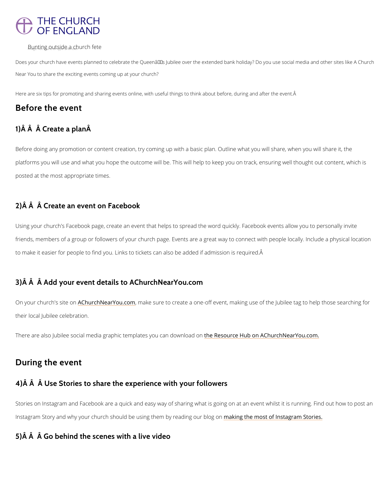# **THE CHURCH** OF ENGLAND

 $B_{\rm B}$ ung t $\rm i$ n $g_{\rm u}$ ng yt $\rm sjd$  e<sub>n k</sub>a $_{\rm o}$  wohurch fete

Does your church have events planned to celebrate the Queenâ $\epsilon$ <sup>TM</sup>s Jubilee over the extended bank holid Near You to share the exciting events coming up at your church?

Here are six tips for promoting and sharing events online, with useful things to think about before, during

Before doing any promotion or content creation, try coming up with a basic plan. Outline wha platforms you will use and what you hope the outcome will be. This will help to keep you on posted at the most appropriate times.

# Before the event

# 1) Â Â Â Create a planÂ

On your church'<u>A Gshituer cohnNearYou</u>m cackme sure to create a one-off event, making use of the Jubile their local Jubilee celebration.

There are also Jubilee social media graphic temtonleat Ressonounce and uncowent a Common Near You.com.

# 2)Â Â Â Create an event on Facebook

Using your church's Facebook page, create an event that helps to spread the word quickly. F friends, members of a group or followers of your church page. Events are a great way to con to make it easier for people to find you. Links to tickets can also be added if admission is re

## 3)Â Â Â Add your event details to AChurchNearYou.com

## During the event

# 4)Â Â Â Use Stories to share the experience with your followers

Stories on Instagram and Facebook are a quick and easy way of sharing what is going on at a

Instagram Story and why your church should be using mahkem gy by remandsing to um shibaggram Stories.

# 5)Â Â Â Go behind the scenes with a live video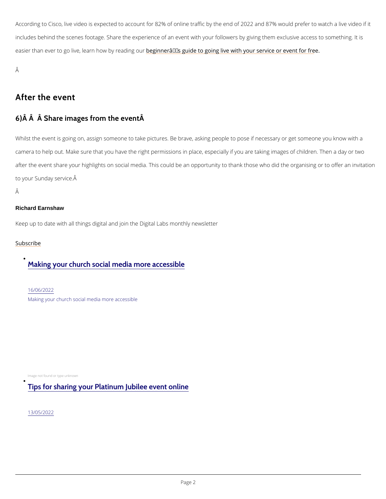According to Cisco, live video is expected to account for 82% of online traffic by the end of includes behind the scenes footage. Share the experience of an event with your followers by easier than ever to go live, learnbegin the rate and the to going live with your service or event

Â

## After the event

### $6$ )  $\hat{A}$   $\hat{A}$   $\hat{A}$  Share images from the event  $\hat{A}$

Whilst the event is going on, assign someone to take pictures. Be brave, asking people to po camera to help out. Make sure that you have the right permissions in place, especially if you after the event share your highlights on social media. This could be an opportunity to thank to your Sunday service.

Â

### Richard Earnshaw

Keep up to date with all things digital and join the Digital Labs monthly newsletter

[Subscr](https://www.churchofengland.org/resources/digital-labs/digital-labs-newsletter)ibe

## [Making your church social media more accessible](/resources/digital-labs/blogs/making-your-church-social-media-more-accessible)

[16/06/2](/resources/digital-labs/blogs/making-your-church-social-media-more-accessible)022 Making your church social media more accessible

Image not found or type unknown

# [Tips for sharing your Platinum Jubilee event online](/tips-sharing-your-platinum-jubilee-event-online)

[13/05/2](/tips-sharing-your-platinum-jubilee-event-online)022